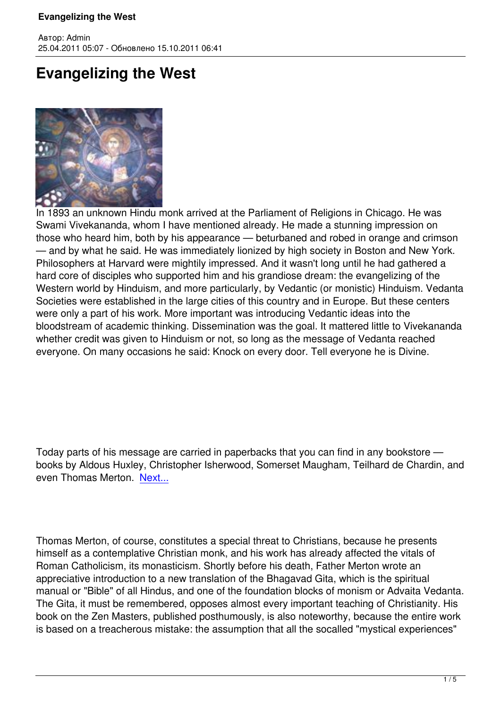

Автор: Admin

In 1893 an unknown Hindu monk arrived at the Parliament of Religions in Chicago. He was Swami Vivekananda, whom I have mentioned already. He made a stunning impression on those who heard him, both by his appearance — beturbaned and robed in orange and crimson — and by what he said. He was immediately lionized by high society in Boston and New York. Philosophers at Harvard were mightily impressed. And it wasn't long until he had gathered a hard core of disciples who supported him and his grandiose dream: the evangelizing of the Western world by Hinduism, and more particularly, by Vedantic (or monistic) Hinduism. Vedanta Societies were established in the large cities of this country and in Europe. But these centers were only a part of his work. More important was introducing Vedantic ideas into the bloodstream of academic thinking. Dissemination was the goal. It mattered little to Vivekananda whether credit was given to Hinduism or not, so long as the message of Vedanta reached everyone. On many occasions he said: Knock on every door. Tell everyone he is Divine.

Today parts of his message are carried in paperbacks that you can find in any bookstore books by Aldous Huxley, Christopher Isherwood, Somerset Maugham, Teilhard de Chardin, and even Thomas Merton. Next...

Thomas Merton, of course, constitutes a special threat to Christians, because he presents himself as a contemplative Christian monk, and his work has already affected the vitals of Roman Catholicism, its monasticism. Shortly before his death, Father Merton wrote an appreciative introduction to a new translation of the Bhagavad Gita, which is the spiritual manual or "Bible" of all Hindus, and one of the foundation blocks of monism or Advaita Vedanta. The Gita, it must be remembered, opposes almost every important teaching of Christianity. His book on the Zen Masters, published posthumously, is also noteworthy, because the entire work is based on a treacherous mistake: the assumption that all the socalled "mystical experiences"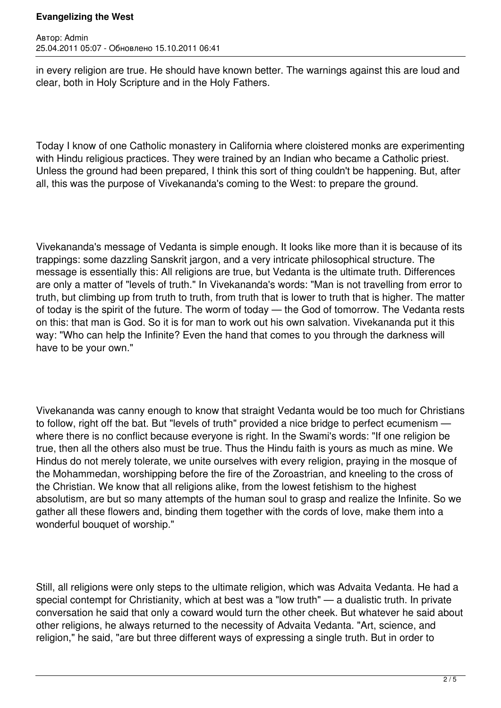Автор: Admin 25.04.2011 05:07 - Обновлено 15.10.2011 06:41

in every religion are true. He should have known better. The warnings against this are loud and clear, both in Holy Scripture and in the Holy Fathers.

Today I know of one Catholic monastery in California where cloistered monks are experimenting with Hindu religious practices. They were trained by an Indian who became a Catholic priest. Unless the ground had been prepared, I think this sort of thing couldn't be happening. But, after all, this was the purpose of Vivekananda's coming to the West: to prepare the ground.

Vivekananda's message of Vedanta is simple enough. It looks like more than it is because of its trappings: some dazzling Sanskrit jargon, and a very intricate philosophical structure. The message is essentially this: All religions are true, but Vedanta is the ultimate truth. Differences are only a matter of "levels of truth." In Vivekananda's words: "Man is not travelling from error to truth, but climbing up from truth to truth, from truth that is lower to truth that is higher. The matter of today is the spirit of the future. The worm of today — the God of tomorrow. The Vedanta rests on this: that man is God. So it is for man to work out his own salvation. Vivekananda put it this way: "Who can help the Infinite? Even the hand that comes to you through the darkness will have to be your own."

Vivekananda was canny enough to know that straight Vedanta would be too much for Christians to follow, right off the bat. But "levels of truth" provided a nice bridge to perfect ecumenism where there is no conflict because everyone is right. In the Swami's words: "If one religion be true, then all the others also must be true. Thus the Hindu faith is yours as much as mine. We Hindus do not merely tolerate, we unite ourselves with every religion, praying in the mosque of the Mohammedan, worshipping before the fire of the Zoroastrian, and kneeling to the cross of the Christian. We know that all religions alike, from the lowest fetishism to the highest absolutism, are but so many attempts of the human soul to grasp and realize the Infinite. So we gather all these flowers and, binding them together with the cords of love, make them into a wonderful bouquet of worship."

Still, all religions were only steps to the ultimate religion, which was Advaita Vedanta. He had a special contempt for Christianity, which at best was a "low truth" — a dualistic truth. In private conversation he said that only a coward would turn the other cheek. But whatever he said about other religions, he always returned to the necessity of Advaita Vedanta. "Art, science, and religion," he said, "are but three different ways of expressing a single truth. But in order to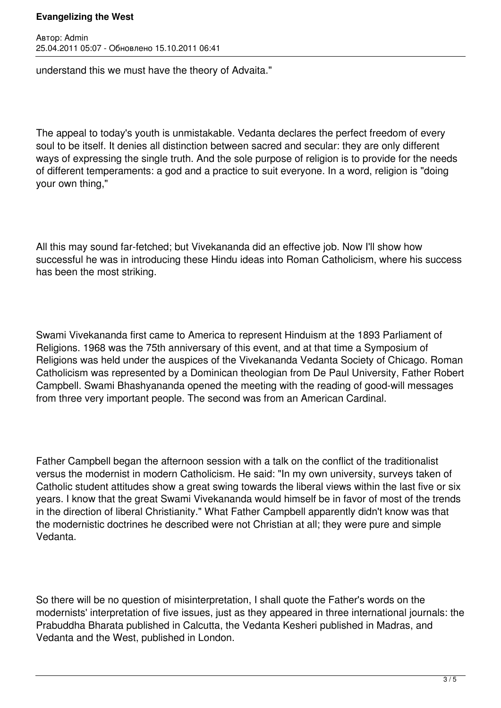Автор: Admin 25.04.2011 05:07 - Обновлено 15.10.2011 06:41

understand this we must have the theory of Advaita."

The appeal to today's youth is unmistakable. Vedanta declares the perfect freedom of every soul to be itself. It denies all distinction between sacred and secular: they are only different ways of expressing the single truth. And the sole purpose of religion is to provide for the needs of different temperaments: a god and a practice to suit everyone. In a word, religion is "doing your own thing,"

All this may sound far-fetched; but Vivekananda did an effective job. Now I'll show how successful he was in introducing these Hindu ideas into Roman Catholicism, where his success has been the most striking.

Swami Vivekananda first came to America to represent Hinduism at the 1893 Parliament of Religions. 1968 was the 75th anniversary of this event, and at that time a Symposium of Religions was held under the auspices of the Vivekananda Vedanta Society of Chicago. Roman Catholicism was represented by a Dominican theologian from De Paul University, Father Robert Campbell. Swami Bhashyananda opened the meeting with the reading of good-will messages from three very important people. The second was from an American Cardinal.

Father Campbell began the afternoon session with a talk on the conflict of the traditionalist versus the modernist in modern Catholicism. He said: "In my own university, surveys taken of Catholic student attitudes show a great swing towards the liberal views within the last five or six years. I know that the great Swami Vivekananda would himself be in favor of most of the trends in the direction of liberal Christianity." What Father Campbell apparently didn't know was that the modernistic doctrines he described were not Christian at all; they were pure and simple Vedanta.

So there will be no question of misinterpretation, I shall quote the Father's words on the modernists' interpretation of five issues, just as they appeared in three international journals: the Prabuddha Bharata published in Calcutta, the Vedanta Kesheri published in Madras, and Vedanta and the West, published in London.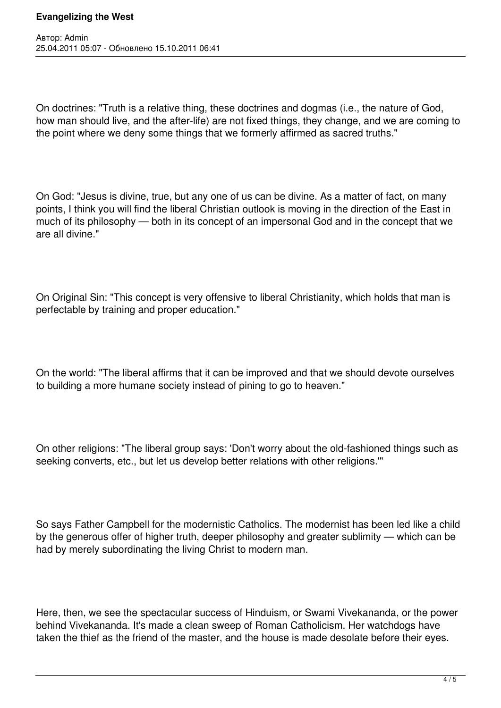On doctrines: "Truth is a relative thing, these doctrines and dogmas (i.e., the nature of God, how man should live, and the after-life) are not fixed things, they change, and we are coming to the point where we deny some things that we formerly affirmed as sacred truths."

On God: "Jesus is divine, true, but any one of us can be divine. As a matter of fact, on many points, I think you will find the liberal Christian outlook is moving in the direction of the East in much of its philosophy — both in its concept of an impersonal God and in the concept that we are all divine."

On Original Sin: "This concept is very offensive to liberal Christianity, which holds that man is perfectable by training and proper education."

On the world: "The liberal affirms that it can be improved and that we should devote ourselves to building a more humane society instead of pining to go to heaven."

On other religions: "The liberal group says: 'Don't worry about the old-fashioned things such as seeking converts, etc., but let us develop better relations with other religions.'"

So says Father Campbell for the modernistic Catholics. The modernist has been led like a child by the generous offer of higher truth, deeper philosophy and greater sublimity — which can be had by merely subordinating the living Christ to modern man.

Here, then, we see the spectacular success of Hinduism, or Swami Vivekananda, or the power behind Vivekananda. It's made a clean sweep of Roman Catholicism. Her watchdogs have taken the thief as the friend of the master, and the house is made desolate before their eyes.